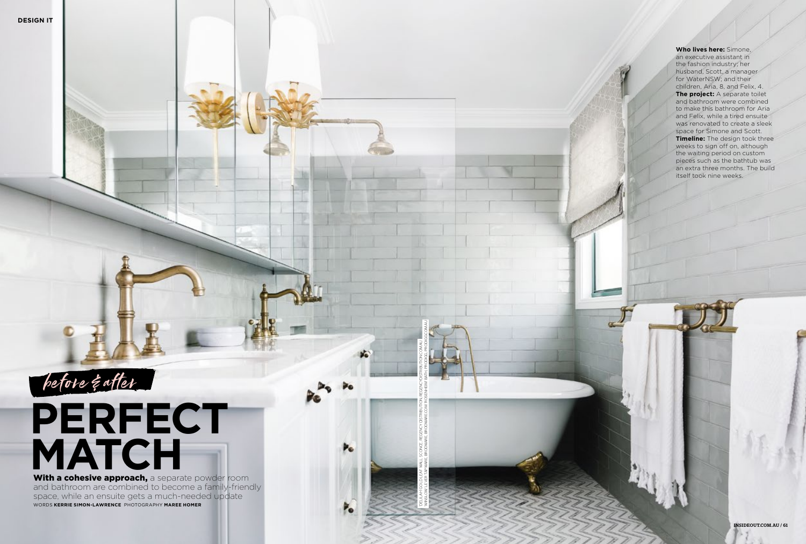**Who lives here:** Simone, an executive assistant in the fashion industry; her husband, Scott, a manager for WaterNSW; and their children, Aria, 8, and Felix, 4. **The project:** A separate toilet and bathroom were combined to make this bathroom for Aria and Felix, while a tired ensuite was renovated to create a sleek space for Simone and Scott. **Timeline:** The design took three weeks to sign off on, although the waiting period on custom pieces such as the bathtub was an extra three months. The build itself took nine weeks.

## **PERFECT MATCH** With a cohesive approach, a separate powder room

and bathroom are combined to become a family-friendly space, while an ensuite gets a much-needed update WORDS **KERRIE SIMON-LAWRENCE** PHOTOGRAPHY **MAREE HOMER**

'DELILAH' GOLD LEAF WALL SCONCE, REGENCY DISTRIBUTION, REGENCYDISTRIBUTION.COM.AU. 'WINSLOW' LEVER TAPWARE, BRODWARE, BRODWARE.COM. 'ROSENHEIM' BATH, PRODIGG, PRODIGG.COM.AU

Þ.

P.